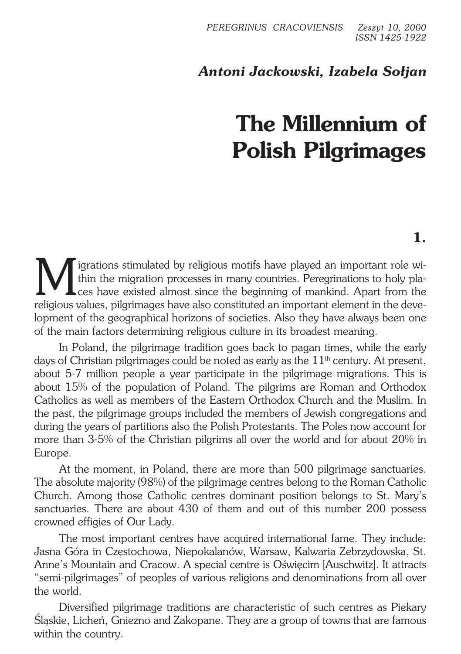# *Antoni Jackowski, Izabela Sołjan*

# **The Millennium of Polish Pilgrimages**

M igrations stimulated by religious motifs have played an important role within the migration processes in many countries. Peregrinations to holy places have existed almost since the beginning of mankind. Apart from the re thin the migration processes in many countries. Peregrinations to holy pla− **L**ces have existed almost since the beginning of mankind. Apart from the religious values, pilgrimages have also constituted an important element in the deve− lopment of the geographical horizons of societies. Also they have always been one of the main factors determining religious culture in its broadest meaning.

In Poland, the pilgrimage tradition goes back to pagan times, while the early days of Christian pilgrimages could be noted as early as the  $11<sup>th</sup>$  century. At present, about 5−7 million people a year participate in the pilgrimage migrations. This is about 15% of the population of Poland. The pilgrims are Roman and Orthodox Catholics as well as members of the Eastern Orthodox Church and the Muslim. In the past, the pilgrimage groups included the members of Jewish congregations and during the years of partitions also the Polish Protestants. The Poles now account for more than 3−5% of the Christian pilgrims all over the world and for about 20% in Europe.

At the moment, in Poland, there are more than 500 pilgrimage sanctuaries. The absolute majority (98%) of the pilgrimage centres belong to the Roman Catholic Church. Among those Catholic centres dominant position belongs to St. Mary's sanctuaries. There are about 430 of them and out of this number 200 possess crowned effigies of Our Lady.

The most important centres have acquired international fame. They include: Jasna Góra in Częstochowa, Niepokalanów, Warsaw, Kalwaria Zebrzydowska, St. Anne's Mountain and Cracow. A special centre is Oświęcim [Auschwitz]. It attracts "semi−pilgrimages" of peoples of various religions and denominations from all over the world.

Diversified pilgrimage traditions are characteristic of such centres as Piekary Śląskie, Licheń, Gniezno and Zakopane. They are a group of towns that are famous within the country.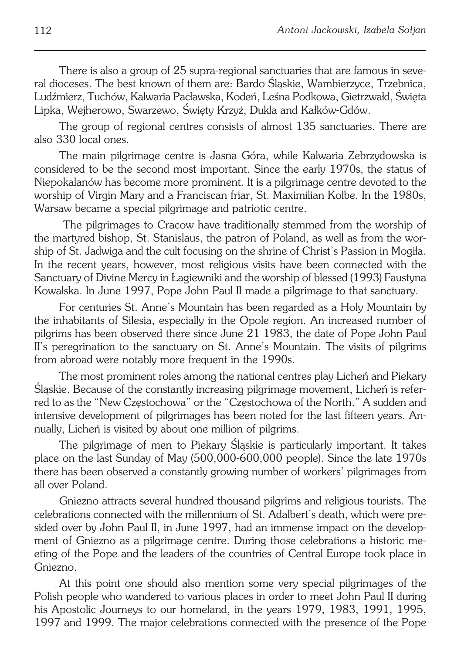There is also a group of 25 supra−regional sanctuaries that are famous in seve− ral dioceses. The best known of them are: Bardo Śląskie, Wambierzyce, Trzebnica, Ludźmierz, Tuchów, Kalwaria Pacławska, Kodeń, Leśna Podkowa, Gietrzwałd, Święta Lipka, Wejherowo, Swarzewo, Święty Krzyż, Dukla and Kałków−Gdów.

The group of regional centres consists of almost 135 sanctuaries. There are also 330 local ones.

The main pilgrimage centre is Jasna Góra, while Kalwaria Zebrzydowska is considered to be the second most important. Since the early 1970s, the status of Niepokalanów has become more prominent. It is a pilgrimage centre devoted to the worship of Virgin Mary and a Franciscan friar, St. Maximilian Kolbe. In the 1980s, Warsaw became a special pilgrimage and patriotic centre.

 The pilgrimages to Cracow have traditionally stemmed from the worship of the martyred bishop, St. Stanislaus, the patron of Poland, as well as from the wor− ship of St. Jadwiga and the cult focusing on the shrine of Christ's Passion in Mogiła. In the recent years, however, most religious visits have been connected with the Sanctuary of Divine Mercy in Łagiewniki and the worship of blessed (1993) Faustyna Kowalska. In June 1997, Pope John Paul II made a pilgrimage to that sanctuary.

For centuries St. Anne's Mountain has been regarded as a Holy Mountain by the inhabitants of Silesia, especially in the Opole region. An increased number of pilgrims has been observed there since June 21 1983, the date of Pope John Paul II's peregrination to the sanctuary on St. Anne's Mountain. The visits of pilgrims from abroad were notably more frequent in the 1990s.

The most prominent roles among the national centres play Licheń and Piekary Śląskie. Because of the constantly increasing pilgrimage movement, Licheń is refer− red to as the "New Częstochowa" or the "Częstochowa of the North." A sudden and intensive development of pilgrimages has been noted for the last fifteen years. An− nually, Licheń is visited by about one million of pilgrims.

The pilgrimage of men to Piekary Śląskie is particularly important. It takes place on the last Sunday of May (500,000−600,000 people). Since the late 1970s there has been observed a constantly growing number of workers' pilgrimages from all over Poland.

Gniezno attracts several hundred thousand pilgrims and religious tourists. The celebrations connected with the millennium of St. Adalbert's death, which were pre− sided over by John Paul II, in June 1997, had an immense impact on the development of Gniezno as a pilgrimage centre. During those celebrations a historic me− eting of the Pope and the leaders of the countries of Central Europe took place in Gniezno.

At this point one should also mention some very special pilgrimages of the Polish people who wandered to various places in order to meet John Paul II during his Apostolic Journeys to our homeland, in the years 1979, 1983, 1991, 1995, 1997 and 1999. The major celebrations connected with the presence of the Pope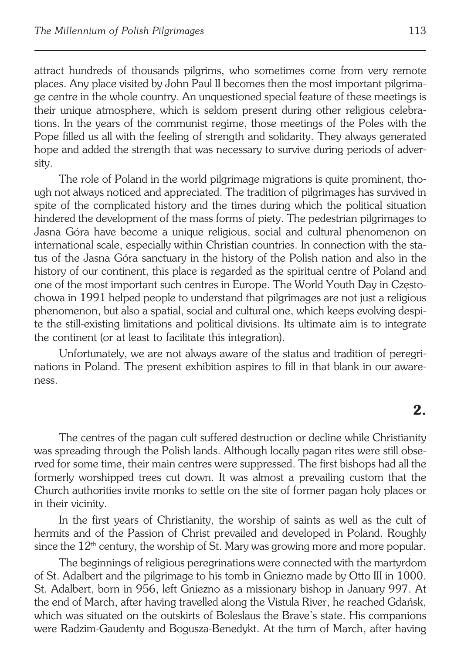attract hundreds of thousands pilgrims, who sometimes come from very remote places. Any place visited by John Paul II becomes then the most important pilgrima− ge centre in the whole country. An unquestioned special feature of these meetings is their unique atmosphere, which is seldom present during other religious celebra− tions. In the years of the communist regime, those meetings of the Poles with the Pope filled us all with the feeling of strength and solidarity. They always generated hope and added the strength that was necessary to survive during periods of adver− sity.

The role of Poland in the world pilgrimage migrations is quite prominent, tho− ugh not always noticed and appreciated. The tradition of pilgrimages has survived in spite of the complicated history and the times during which the political situation hindered the development of the mass forms of piety. The pedestrian pilgrimages to Jasna Góra have become a unique religious, social and cultural phenomenon on international scale, especially within Christian countries. In connection with the sta− tus of the Jasna Góra sanctuary in the history of the Polish nation and also in the history of our continent, this place is regarded as the spiritual centre of Poland and one of the most important such centres in Europe. The World Youth Day in Często− chowa in 1991 helped people to understand that pilgrimages are not just a religious phenomenon, but also a spatial, social and cultural one, which keeps evolving despi− te the still−existing limitations and political divisions. Its ultimate aim is to integrate the continent (or at least to facilitate this integration).

Unfortunately, we are not always aware of the status and tradition of peregri− nations in Poland. The present exhibition aspires to fill in that blank in our aware− ness.

### **2.**

The centres of the pagan cult suffered destruction or decline while Christianity was spreading through the Polish lands. Although locally pagan rites were still obse− rved for some time, their main centres were suppressed. The first bishops had all the formerly worshipped trees cut down. It was almost a prevailing custom that the Church authorities invite monks to settle on the site of former pagan holy places or in their vicinity.

In the first years of Christianity, the worship of saints as well as the cult of hermits and of the Passion of Christ prevailed and developed in Poland. Roughly since the  $12<sup>th</sup>$  century, the worship of St. Mary was growing more and more popular.

The beginnings of religious peregrinations were connected with the martyrdom of St. Adalbert and the pilgrimage to his tomb in Gniezno made by Otto III in 1000. St. Adalbert, born in 956, left Gniezno as a missionary bishop in January 997. At the end of March, after having travelled along the Vistula River, he reached Gdańsk, which was situated on the outskirts of Boleslaus the Brave's state. His companions were Radzim−Gaudenty and Bogusza−Benedykt. At the turn of March, after having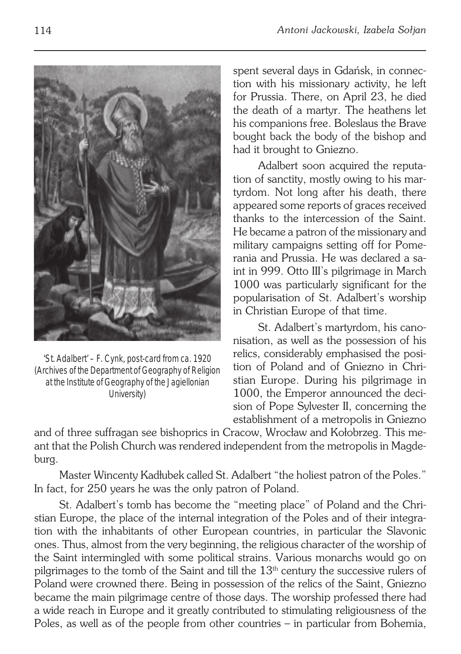

'St. Adalbert' – F. Cynk, post-card from ca. 1920 (Archives of the Department of Geography of Religion at the Institute of Geography of the Jagiellonian University)

spent several days in Gdańsk, in connec− tion with his missionary activity, he left for Prussia. There, on April 23, he died the death of a martyr. The heathens let his companions free. Boleslaus the Brave bought back the body of the bishop and had it brought to Gniezno.

Adalbert soon acquired the reputa− tion of sanctity, mostly owing to his mar− tyrdom. Not long after his death, there appeared some reports of graces received thanks to the intercession of the Saint. He became a patron of the missionary and military campaigns setting off for Pome− rania and Prussia. He was declared a sa− int in 999. Otto III's pilgrimage in March 1000 was particularly significant for the popularisation of St. Adalbert's worship in Christian Europe of that time.

St. Adalbert's martyrdom, his cano− nisation, as well as the possession of his relics, considerably emphasised the posi− tion of Poland and of Gniezno in Chri− stian Europe. During his pilgrimage in 1000, the Emperor announced the deci− sion of Pope Sylvester II, concerning the establishment of a metropolis in Gniezno

and of three suffragan see bishoprics in Cracow, Wrocław and Kołobrzeg. This me− ant that the Polish Church was rendered independent from the metropolis in Magde− burg.

Master Wincenty Kadłubek called St. Adalbert "the holiest patron of the Poles." In fact, for 250 years he was the only patron of Poland.

St. Adalbert's tomb has become the "meeting place" of Poland and the Chri− stian Europe, the place of the internal integration of the Poles and of their integra− tion with the inhabitants of other European countries, in particular the Slavonic ones. Thus, almost from the very beginning, the religious character of the worship of the Saint intermingled with some political strains. Various monarchs would go on pilgrimages to the tomb of the Saint and till the  $13<sup>th</sup>$  century the successive rulers of Poland were crowned there. Being in possession of the relics of the Saint, Gniezno became the main pilgrimage centre of those days. The worship professed there had a wide reach in Europe and it greatly contributed to stimulating religiousness of the Poles, as well as of the people from other countries – in particular from Bohemia,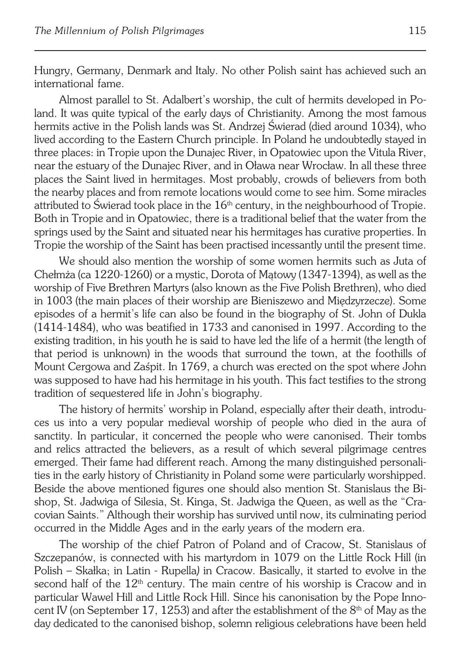Hungry, Germany, Denmark and Italy. No other Polish saint has achieved such an international fame.

Almost parallel to St. Adalbert's worship, the cult of hermits developed in Po− land. It was quite typical of the early days of Christianity. Among the most famous hermits active in the Polish lands was St. Andrzej Świerad (died around 1034), who lived according to the Eastern Church principle. In Poland he undoubtedly stayed in three places: in Tropie upon the Dunajec River, in Opatowiec upon the Vitula River, near the estuary of the Dunajec River, and in Oława near Wrocław. In all these three places the Saint lived in hermitages. Most probably, crowds of believers from both the nearby places and from remote locations would come to see him. Some miracles attributed to Świerad took place in the  $16<sup>th</sup>$  century, in the neighbourhood of Tropie. Both in Tropie and in Opatowiec, there is a traditional belief that the water from the springs used by the Saint and situated near his hermitages has curative properties. In Tropie the worship of the Saint has been practised incessantly until the present time.

We should also mention the worship of some women hermits such as Juta of Chełmża (ca 1220−1260) or a mystic, Dorota of Mątowy (1347−1394), as well as the worship of Five Brethren Martyrs (also known as the Five Polish Brethren), who died in 1003 (the main places of their worship are Bieniszewo and Międzyrzecze). Some episodes of a hermit's life can also be found in the biography of St. John of Dukla (1414−1484), who was beatified in 1733 and canonised in 1997. According to the existing tradition, in his youth he is said to have led the life of a hermit (the length of that period is unknown) in the woods that surround the town, at the foothills of Mount Cergowa and Zaśpit. In 1769, a church was erected on the spot where John was supposed to have had his hermitage in his youth. This fact testifies to the strong tradition of sequestered life in John's biography.

The history of hermits' worship in Poland, especially after their death, introdu− ces us into a very popular medieval worship of people who died in the aura of sanctity. In particular, it concerned the people who were canonised. Their tombs and relics attracted the believers, as a result of which several pilgrimage centres emerged. Their fame had different reach. Among the many distinguished personali− ties in the early history of Christianity in Poland some were particularly worshipped. Beside the above mentioned figures one should also mention St. Stanislaus the Bi− shop, St. Jadwiga of Silesia, St. Kinga, St. Jadwiga the Queen, as well as the "Cra− covian Saints." Although their worship has survived until now, its culminating period occurred in the Middle Ages and in the early years of the modern era.

The worship of the chief Patron of Poland and of Cracow, St. Stanislaus of Szczepanów, is connected with his martyrdom in 1079 on the Little Rock Hill (in Polish – Skałka; in Latin − Rupella*)* in Cracow. Basically, it started to evolve in the second half of the  $12<sup>th</sup>$  century. The main centre of his worship is Cracow and in particular Wawel Hill and Little Rock Hill. Since his canonisation by the Pope Inno− cent IV (on September 17, 1253) and after the establishment of the  $8<sup>th</sup>$  of May as the day dedicated to the canonised bishop, solemn religious celebrations have been held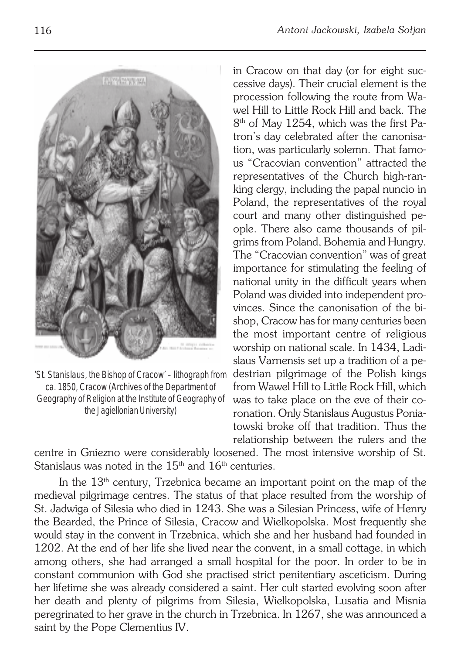

'St. Stanislaus, the Bishop of Cracow' – lithograph from ca. 1850, Cracow (Archives of the Department of Geography of Religion at the Institute of Geography of the Jagiellonian University)

in Cracow on that day (or for eight suc− cessive days). Their crucial element is the procession following the route from Wa− wel Hill to Little Rock Hill and back. The 8<sup>th</sup> of May 1254, which was the first Patron's day celebrated after the canonisa− tion, was particularly solemn. That famo− us "Cracovian convention" attracted the representatives of the Church high−ran− king clergy, including the papal nuncio in Poland, the representatives of the royal court and many other distinguished pe− ople. There also came thousands of pil− grims from Poland, Bohemia and Hungry. The "Cracovian convention" was of great importance for stimulating the feeling of national unity in the difficult years when Poland was divided into independent pro− vinces. Since the canonisation of the bi− shop, Cracow has for many centuries been the most important centre of religious worship on national scale. In 1434, Ladi− slaus Varnensis set up a tradition of a pe− destrian pilgrimage of the Polish kings from Wawel Hill to Little Rock Hill, which was to take place on the eve of their co− ronation. Only Stanislaus Augustus Ponia− towski broke off that tradition. Thus the relationship between the rulers and the

centre in Gniezno were considerably loosened. The most intensive worship of St. Stanislaus was noted in the  $15<sup>th</sup>$  and  $16<sup>th</sup>$  centuries.

In the  $13<sup>th</sup>$  century, Trzebnica became an important point on the map of the medieval pilgrimage centres. The status of that place resulted from the worship of St. Jadwiga of Silesia who died in 1243. She was a Silesian Princess, wife of Henry the Bearded, the Prince of Silesia, Cracow and Wielkopolska. Most frequently she would stay in the convent in Trzebnica, which she and her husband had founded in 1202. At the end of her life she lived near the convent, in a small cottage, in which among others, she had arranged a small hospital for the poor. In order to be in constant communion with God she practised strict penitentiary asceticism. During her lifetime she was already considered a saint. Her cult started evolving soon after her death and plenty of pilgrims from Silesia, Wielkopolska, Lusatia and Misnia peregrinated to her grave in the church in Trzebnica. In 1267, she was announced a saint by the Pope Clementius IV.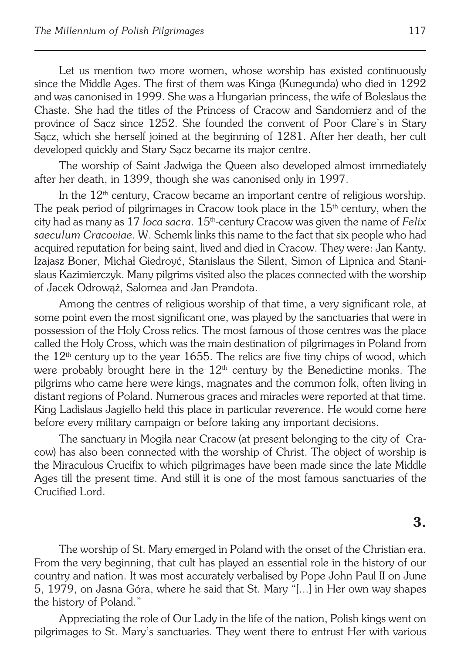Let us mention two more women, whose worship has existed continuously since the Middle Ages. The first of them was Kinga (Kunegunda) who died in 1292 and was canonised in 1999. She was a Hungarian princess, the wife of Boleslaus the Chaste. She had the titles of the Princess of Cracow and Sandomierz and of the province of Sącz since 1252. She founded the convent of Poor Clare's in Stary Sącz, which she herself joined at the beginning of 1281. After her death, her cult developed quickly and Stary Sącz became its major centre.

The worship of Saint Jadwiga the Queen also developed almost immediately after her death, in 1399, though she was canonised only in 1997.

In the  $12<sup>th</sup>$  century, Cracow became an important centre of religious worship. The peak period of pilgrimages in Cracow took place in the  $15<sup>th</sup>$  century, when the city had as many as 17 *loca sacra*. 15th−century Cracow was given the name of *Felix saeculum Cracoviae*. W. Schemk links this name to the fact that six people who had acquired reputation for being saint, lived and died in Cracow. They were: Jan Kanty, Izajasz Boner, Michał Giedroyć, Stanislaus the Silent, Simon of Lipnica and Stani− slaus Kazimierczyk. Many pilgrims visited also the places connected with the worship of Jacek Odrowąż, Salomea and Jan Prandota.

Among the centres of religious worship of that time, a very significant role, at some point even the most significant one, was played by the sanctuaries that were in possession of the Holy Cross relics. The most famous of those centres was the place called the Holy Cross, which was the main destination of pilgrimages in Poland from the  $12<sup>th</sup>$  century up to the year 1655. The relics are five tiny chips of wood, which were probably brought here in the  $12<sup>th</sup>$  century by the Benedictine monks. The pilgrims who came here were kings, magnates and the common folk, often living in distant regions of Poland. Numerous graces and miracles were reported at that time. King Ladislaus Jagiello held this place in particular reverence. He would come here before every military campaign or before taking any important decisions.

The sanctuary in Mogiła near Cracow (at present belonging to the city of Cra− cow) has also been connected with the worship of Christ. The object of worship is the Miraculous Crucifix to which pilgrimages have been made since the late Middle Ages till the present time. And still it is one of the most famous sanctuaries of the Crucified Lord.

#### **3.**

The worship of St. Mary emerged in Poland with the onset of the Christian era. From the very beginning, that cult has played an essential role in the history of our country and nation. It was most accurately verbalised by Pope John Paul II on June 5, 1979, on Jasna Góra, where he said that St. Mary "[...] in Her own way shapes the history of Poland."

Appreciating the role of Our Lady in the life of the nation, Polish kings went on pilgrimages to St. Mary's sanctuaries. They went there to entrust Her with various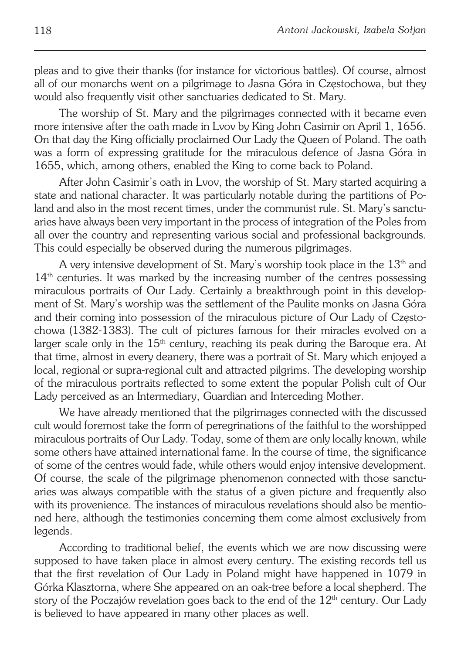pleas and to give their thanks (for instance for victorious battles). Of course, almost all of our monarchs went on a pilgrimage to Jasna Góra in Częstochowa, but they would also frequently visit other sanctuaries dedicated to St. Mary.

The worship of St. Mary and the pilgrimages connected with it became even more intensive after the oath made in Lvov by King John Casimir on April 1, 1656. On that day the King officially proclaimed Our Lady the Queen of Poland. The oath was a form of expressing gratitude for the miraculous defence of Jasna Góra in 1655, which, among others, enabled the King to come back to Poland.

After John Casimir's oath in Lvov, the worship of St. Mary started acquiring a state and national character. It was particularly notable during the partitions of Po− land and also in the most recent times, under the communist rule. St. Mary's sanctu− aries have always been very important in the process of integration of the Poles from all over the country and representing various social and professional backgrounds. This could especially be observed during the numerous pilgrimages.

A very intensive development of St. Mary's worship took place in the  $13<sup>th</sup>$  and  $14<sup>th</sup>$  centuries. It was marked by the increasing number of the centres possessing miraculous portraits of Our Lady. Certainly a breakthrough point in this develop− ment of St. Mary's worship was the settlement of the Paulite monks on Jasna Góra and their coming into possession of the miraculous picture of Our Lady of Często− chowa (1382−1383). The cult of pictures famous for their miracles evolved on a larger scale only in the  $15<sup>th</sup>$  century, reaching its peak during the Baroque era. At that time, almost in every deanery, there was a portrait of St. Mary which enjoyed a local, regional or supra−regional cult and attracted pilgrims. The developing worship of the miraculous portraits reflected to some extent the popular Polish cult of Our Lady perceived as an Intermediary, Guardian and Interceding Mother.

We have already mentioned that the pilgrimages connected with the discussed cult would foremost take the form of peregrinations of the faithful to the worshipped miraculous portraits of Our Lady. Today, some of them are only locally known, while some others have attained international fame. In the course of time, the significance of some of the centres would fade, while others would enjoy intensive development. Of course, the scale of the pilgrimage phenomenon connected with those sanctu− aries was always compatible with the status of a given picture and frequently also with its provenience. The instances of miraculous revelations should also be mentio− ned here, although the testimonies concerning them come almost exclusively from legends.

According to traditional belief, the events which we are now discussing were supposed to have taken place in almost every century. The existing records tell us that the first revelation of Our Lady in Poland might have happened in 1079 in Górka Klasztorna, where She appeared on an oak−tree before a local shepherd. The story of the Poczajów revelation goes back to the end of the  $12<sup>th</sup>$  century. Our Lady is believed to have appeared in many other places as well.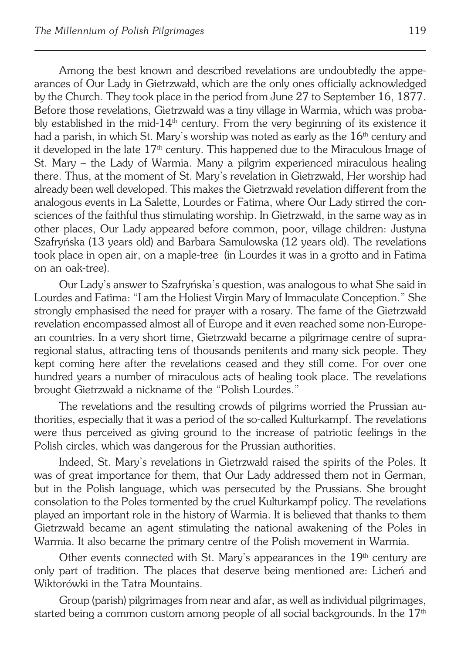Among the best known and described revelations are undoubtedly the appe− arances of Our Lady in Gietrzwałd, which are the only ones officially acknowledged by the Church. They took place in the period from June 27 to September 16, 1877. Before those revelations, Gietrzwałd was a tiny village in Warmia, which was proba− bly established in the mid−14th century. From the very beginning of its existence it had a parish, in which St. Mary's worship was noted as early as the  $16<sup>th</sup>$  century and it developed in the late  $17<sup>th</sup>$  century. This happened due to the Miraculous Image of St. Mary – the Lady of Warmia. Many a pilgrim experienced miraculous healing there. Thus, at the moment of St. Mary's revelation in Gietrzwałd, Her worship had already been well developed. This makes the Gietrzwałd revelation different from the analogous events in La Salette, Lourdes or Fatima, where Our Lady stirred the con− sciences of the faithful thus stimulating worship. In Gietrzwałd, in the same way as in other places, Our Lady appeared before common, poor, village children: Justyna Szafryńska (13 years old) and Barbara Samulowska (12 years old). The revelations took place in open air, on a maple−tree (in Lourdes it was in a grotto and in Fatima on an oak−tree).

Our Lady's answer to Szafryńska's question, was analogous to what She said in Lourdes and Fatima: "I am the Holiest Virgin Mary of Immaculate Conception." She strongly emphasised the need for prayer with a rosary. The fame of the Gietrzwałd revelation encompassed almost all of Europe and it even reached some non−Europe− an countries. In a very short time, Gietrzwałd became a pilgrimage centre of supra− regional status, attracting tens of thousands penitents and many sick people. They kept coming here after the revelations ceased and they still come. For over one hundred years a number of miraculous acts of healing took place. The revelations brought Gietrzwałd a nickname of the "Polish Lourdes."

The revelations and the resulting crowds of pilgrims worried the Prussian authorities, especially that it was a period of the so−called Kulturkampf. The revelations were thus perceived as giving ground to the increase of patriotic feelings in the Polish circles, which was dangerous for the Prussian authorities.

Indeed, St. Mary's revelations in Gietrzwałd raised the spirits of the Poles. It was of great importance for them, that Our Lady addressed them not in German, but in the Polish language, which was persecuted by the Prussians. She brought consolation to the Poles tormented by the cruel Kulturkampf policy. The revelations played an important role in the history of Warmia. It is believed that thanks to them Gietrzwałd became an agent stimulating the national awakening of the Poles in Warmia. It also became the primary centre of the Polish movement in Warmia.

Other events connected with St. Mary's appearances in the  $19<sup>th</sup>$  century are only part of tradition. The places that deserve being mentioned are: Licheń and Wiktorówki in the Tatra Mountains.

Group (parish) pilgrimages from near and afar, as well as individual pilgrimages, started being a common custom among people of all social backgrounds. In the  $17<sup>th</sup>$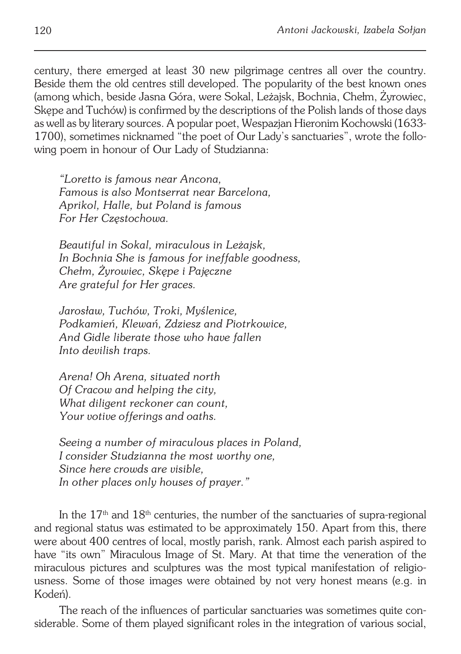century, there emerged at least 30 new pilgrimage centres all over the country. Beside them the old centres still developed. The popularity of the best known ones (among which, beside Jasna Góra, were Sokal, Leżajsk, Bochnia, Chełm, Żyrowiec, Skepe and Tuchów) is confirmed by the descriptions of the Polish lands of those days as well as by literary sources. A popular poet, Wespazjan Hieronim Kochowski (1633− 1700), sometimes nicknamed "the poet of Our Lady's sanctuaries", wrote the follo− wing poem in honour of Our Lady of Studzianna:

*"Loretto is famous near Ancona, Famous is also Montserrat near Barcelona, Aprikol, Halle, but Poland is famous For Her Częstochowa.*

*Beautiful in Sokal, miraculous in Leżajsk, In Bochnia She is famous for ineffable goodness, Chełm, Żyrowiec, Skępe i Pajęczne Are grateful for Her graces.*

*Jarosław, Tuchów, Troki, Myślenice, Podkamień, Klewań, Zdziesz and Piotrkowice, And Gidle liberate those who have fallen Into devilish traps.*

*Arena! Oh Arena, situated north Of Cracow and helping the city, What diligent reckoner can count, Your votive offerings and oaths.*

*Seeing a number of miraculous places in Poland, I consider Studzianna the most worthy one, Since here crowds are visible, In other places only houses of prayer."*

In the 17th and 18th centuries, the number of the sanctuaries of supra−regional and regional status was estimated to be approximately 150. Apart from this, there were about 400 centres of local, mostly parish, rank. Almost each parish aspired to have "its own" Miraculous Image of St. Mary. At that time the veneration of the miraculous pictures and sculptures was the most typical manifestation of religio− usness. Some of those images were obtained by not very honest means (e.g. in Kodeń).

The reach of the influences of particular sanctuaries was sometimes quite con− siderable. Some of them played significant roles in the integration of various social,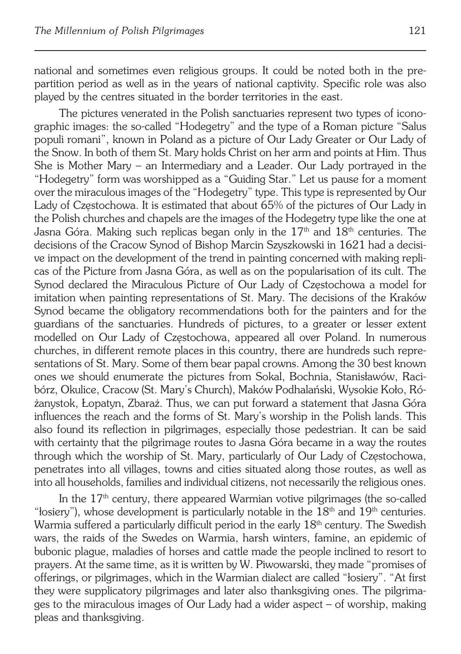national and sometimes even religious groups. It could be noted both in the pre− partition period as well as in the years of national captivity. Specific role was also played by the centres situated in the border territories in the east.

The pictures venerated in the Polish sanctuaries represent two types of icono− graphic images: the so−called "Hodegetry" and the type of a Roman picture "Salus populi romani", known in Poland as a picture of Our Lady Greater or Our Lady of the Snow. In both of them St. Mary holds Christ on her arm and points at Him. Thus She is Mother Mary – an Intermediary and a Leader. Our Lady portrayed in the "Hodegetry" form was worshipped as a "Guiding Star." Let us pause for a moment over the miraculous images of the "Hodegetry" type. This type is represented by Our Lady of Częstochowa. It is estimated that about 65% of the pictures of Our Lady in the Polish churches and chapels are the images of the Hodegetry type like the one at Jasna Góra. Making such replicas began only in the  $17<sup>th</sup>$  and  $18<sup>th</sup>$  centuries. The decisions of the Cracow Synod of Bishop Marcin Szyszkowski in 1621 had a decisi− ve impact on the development of the trend in painting concerned with making repli− cas of the Picture from Jasna Góra, as well as on the popularisation of its cult. The Synod declared the Miraculous Picture of Our Lady of Częstochowa a model for imitation when painting representations of St. Mary. The decisions of the Kraków Synod became the obligatory recommendations both for the painters and for the guardians of the sanctuaries. Hundreds of pictures, to a greater or lesser extent modelled on Our Lady of Częstochowa, appeared all over Poland. In numerous churches, in different remote places in this country, there are hundreds such repre− sentations of St. Mary. Some of them bear papal crowns. Among the 30 best known ones we should enumerate the pictures from Sokal, Bochnia, Stanisławów, Raci− bórz, Okulice, Cracow (St. Mary's Church), Maków Podhalański, Wysokie Koło, Ró− żanystok, Łopatyn, Zbaraż. Thus, we can put forward a statement that Jasna Góra influences the reach and the forms of St. Mary's worship in the Polish lands. This also found its reflection in pilgrimages, especially those pedestrian. It can be said with certainty that the pilgrimage routes to Jasna Góra became in a way the routes through which the worship of St. Mary, particularly of Our Lady of Częstochowa, penetrates into all villages, towns and cities situated along those routes, as well as into all households, families and individual citizens, not necessarily the religious ones.

In the 17<sup>th</sup> century, there appeared Warmian votive pilgrimages (the so-called "losiery"), whose development is particularly notable in the  $18<sup>th</sup>$  and  $19<sup>th</sup>$  centuries. Warmia suffered a particularly difficult period in the early  $18<sup>th</sup>$  century. The Swedish wars, the raids of the Swedes on Warmia, harsh winters, famine, an epidemic of bubonic plague, maladies of horses and cattle made the people inclined to resort to prayers. At the same time, as it is written by W. Piwowarski, they made "promises of offerings, or pilgrimages, which in the Warmian dialect are called "łosiery". "At first they were supplicatory pilgrimages and later also thanksgiving ones. The pilgrima− ges to the miraculous images of Our Lady had a wider aspect – of worship, making pleas and thanksgiving.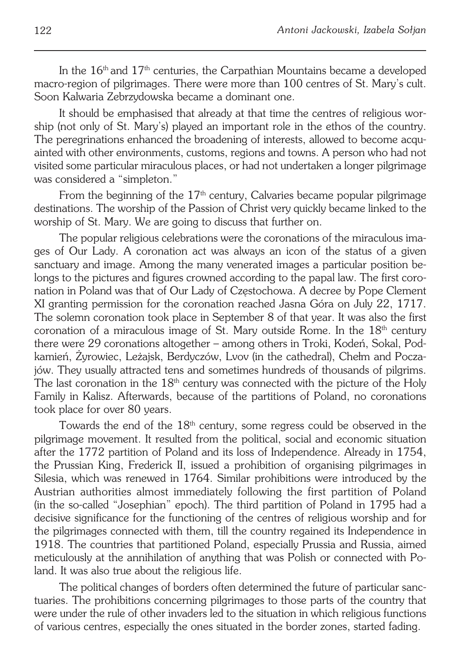In the  $16<sup>th</sup>$  and  $17<sup>th</sup>$  centuries, the Carpathian Mountains became a developed macro−region of pilgrimages. There were more than 100 centres of St. Mary's cult. Soon Kalwaria Zebrzydowska became a dominant one.

It should be emphasised that already at that time the centres of religious wor− ship (not only of St. Mary's) played an important role in the ethos of the country. The peregrinations enhanced the broadening of interests, allowed to become acqu− ainted with other environments, customs, regions and towns. A person who had not visited some particular miraculous places, or had not undertaken a longer pilgrimage was considered a "simpleton."

From the beginning of the  $17<sup>th</sup>$  century, Calvaries became popular pilgrimage destinations. The worship of the Passion of Christ very quickly became linked to the worship of St. Mary. We are going to discuss that further on.

The popular religious celebrations were the coronations of the miraculous ima− ges of Our Lady. A coronation act was always an icon of the status of a given sanctuary and image. Among the many venerated images a particular position belongs to the pictures and figures crowned according to the papal law. The first coro− nation in Poland was that of Our Lady of Częstochowa. A decree by Pope Clement XI granting permission for the coronation reached Jasna Góra on July 22, 1717. The solemn coronation took place in September 8 of that year. It was also the first coronation of a miraculous image of St. Mary outside Rome. In the  $18<sup>th</sup>$  century there were 29 coronations altogether – among others in Troki, Kodeń, Sokal, Pod− kamień, Żyrowiec, Leżajsk, Berdyczów, Lvov (in the cathedral), Chełm and Pocza− jów. They usually attracted tens and sometimes hundreds of thousands of pilgrims. The last coronation in the  $18<sup>th</sup>$  century was connected with the picture of the Holy Family in Kalisz. Afterwards, because of the partitions of Poland, no coronations took place for over 80 years.

Towards the end of the 18<sup>th</sup> century, some regress could be observed in the pilgrimage movement. It resulted from the political, social and economic situation after the 1772 partition of Poland and its loss of Independence. Already in 1754, the Prussian King, Frederick II, issued a prohibition of organising pilgrimages in Silesia, which was renewed in 1764. Similar prohibitions were introduced by the Austrian authorities almost immediately following the first partition of Poland (in the so−called "Josephian" epoch). The third partition of Poland in 1795 had a decisive significance for the functioning of the centres of religious worship and for the pilgrimages connected with them, till the country regained its Independence in 1918. The countries that partitioned Poland, especially Prussia and Russia, aimed meticulously at the annihilation of anything that was Polish or connected with Po− land. It was also true about the religious life.

The political changes of borders often determined the future of particular sanc− tuaries. The prohibitions concerning pilgrimages to those parts of the country that were under the rule of other invaders led to the situation in which religious functions of various centres, especially the ones situated in the border zones, started fading.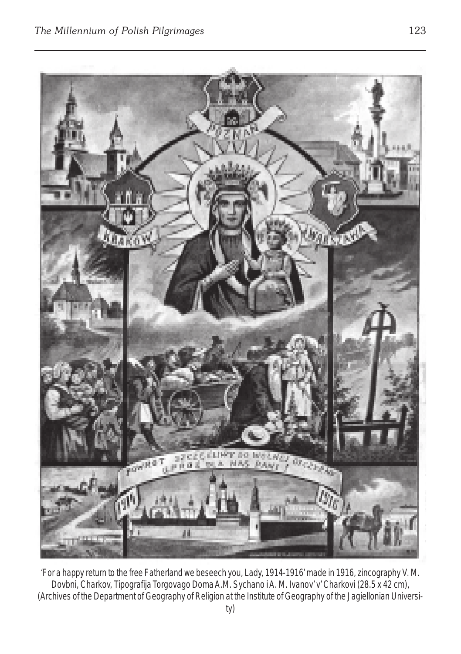

'For a happy return to the free Fatherland we beseech you, Lady, 1914-1916' made in 1916, zincography V. M. Dovbni, Charkov, *Tipografija Torgovago Doma A.M. Sychano i A. M. Ivanov' v' Charkovi* (28.5 x 42 cm), (Archives of the Department of Geography of Religion at the Institute of Geography of the Jagiellonian Universi-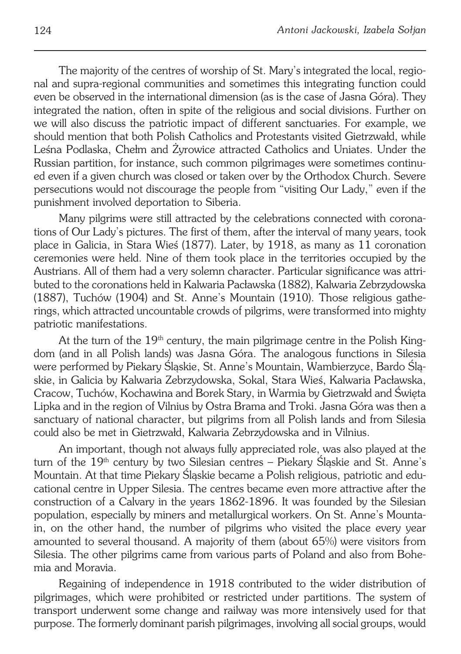The majority of the centres of worship of St. Mary's integrated the local, regio− nal and supra−regional communities and sometimes this integrating function could even be observed in the international dimension (as is the case of Jasna Góra). They integrated the nation, often in spite of the religious and social divisions. Further on we will also discuss the patriotic impact of different sanctuaries. For example, we should mention that both Polish Catholics and Protestants visited Gietrzwałd, while Leśna Podlaska, Chełm and Żyrowice attracted Catholics and Uniates. Under the Russian partition, for instance, such common pilgrimages were sometimes continu− ed even if a given church was closed or taken over by the Orthodox Church. Severe persecutions would not discourage the people from "visiting Our Lady," even if the punishment involved deportation to Siberia.

Many pilgrims were still attracted by the celebrations connected with corona− tions of Our Lady's pictures. The first of them, after the interval of many years, took place in Galicia, in Stara Wieś (1877). Later, by 1918, as many as 11 coronation ceremonies were held. Nine of them took place in the territories occupied by the Austrians. All of them had a very solemn character. Particular significance was attri− buted to the coronations held in Kalwaria Pacławska (1882), Kalwaria Zebrzydowska (1887), Tuchów (1904) and St. Anne's Mountain (1910). Those religious gathe− rings, which attracted uncountable crowds of pilgrims, were transformed into mighty patriotic manifestations.

At the turn of the 19<sup>th</sup> century, the main pilgrimage centre in the Polish Kingdom (and in all Polish lands) was Jasna Góra. The analogous functions in Silesia were performed by Piekary Śląskie, St. Anne's Mountain, Wambierzyce, Bardo Ślą− skie, in Galicia by Kalwaria Zebrzydowska, Sokal, Stara Wieś, Kalwaria Pacławska, Cracow, Tuchów, Kochawina and Borek Stary, in Warmia by Gietrzwałd and Święta Lipka and in the region of Vilnius by Ostra Brama and Troki. Jasna Góra was then a sanctuary of national character, but pilgrims from all Polish lands and from Silesia could also be met in Gietrzwałd, Kalwaria Zebrzydowska and in Vilnius.

An important, though not always fully appreciated role, was also played at the turn of the 19<sup>th</sup> century by two Silesian centres - Piekary Śląskie and St. Anne's Mountain. At that time Piekary Śląskie became a Polish religious, patriotic and edu− cational centre in Upper Silesia. The centres became even more attractive after the construction of a Calvary in the years 1862−1896. It was founded by the Silesian population, especially by miners and metallurgical workers. On St. Anne's Mounta− in, on the other hand, the number of pilgrims who visited the place every year amounted to several thousand. A majority of them (about 65%) were visitors from Silesia. The other pilgrims came from various parts of Poland and also from Bohe− mia and Moravia.

Regaining of independence in 1918 contributed to the wider distribution of pilgrimages, which were prohibited or restricted under partitions. The system of transport underwent some change and railway was more intensively used for that purpose. The formerly dominant parish pilgrimages, involving all social groups, would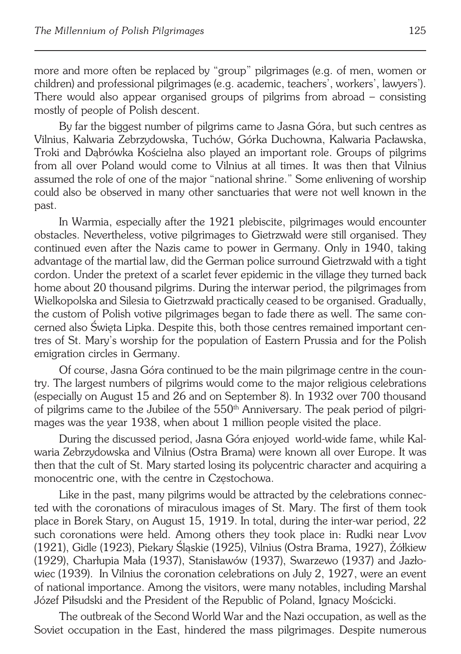more and more often be replaced by "group" pilgrimages (e.g. of men, women or children) and professional pilgrimages (e.g. academic, teachers', workers', lawyers'). There would also appear organised groups of pilgrims from abroad – consisting mostly of people of Polish descent.

By far the biggest number of pilgrims came to Jasna Góra, but such centres as Vilnius, Kalwaria Zebrzydowska, Tuchów, Górka Duchowna, Kalwaria Pacławska, Troki and Dąbrówka Kościelna also played an important role. Groups of pilgrims from all over Poland would come to Vilnius at all times. It was then that Vilnius assumed the role of one of the major "national shrine." Some enlivening of worship could also be observed in many other sanctuaries that were not well known in the past.

In Warmia, especially after the 1921 plebiscite, pilgrimages would encounter obstacles. Nevertheless, votive pilgrimages to Gietrzwałd were still organised. They continued even after the Nazis came to power in Germany. Only in 1940, taking advantage of the martial law, did the German police surround Gietrzwałd with a tight cordon. Under the pretext of a scarlet fever epidemic in the village they turned back home about 20 thousand pilgrims. During the interwar period, the pilgrimages from Wielkopolska and Silesia to Gietrzwałd practically ceased to be organised. Gradually, the custom of Polish votive pilgrimages began to fade there as well. The same con− cerned also Święta Lipka. Despite this, both those centres remained important cen− tres of St. Mary's worship for the population of Eastern Prussia and for the Polish emigration circles in Germany.

Of course, Jasna Góra continued to be the main pilgrimage centre in the coun− try. The largest numbers of pilgrims would come to the major religious celebrations (especially on August 15 and 26 and on September 8). In 1932 over 700 thousand of pilgrims came to the Jubilee of the 550<sup>th</sup> Anniversary. The peak period of pilgrimages was the year 1938, when about 1 million people visited the place.

During the discussed period, Jasna Góra enjoyed world−wide fame, while Kal− waria Zebrzydowska and Vilnius (Ostra Brama) were known all over Europe. It was then that the cult of St. Mary started losing its polycentric character and acquiring a monocentric one, with the centre in Częstochowa.

Like in the past, many pilgrims would be attracted by the celebrations connec− ted with the coronations of miraculous images of St. Mary. The first of them took place in Borek Stary, on August 15, 1919. In total, during the inter−war period, 22 such coronations were held. Among others they took place in: Rudki near Lvov (1921), Gidle (1923), Piekary Śląskie (1925), Vilnius (Ostra Brama, 1927), Żółkiew (1929), Charłupia Mała (1937), Stanisławów (1937), Swarzewo (1937) and Jazło− wiec (1939). In Vilnius the coronation celebrations on July 2, 1927, were an event of national importance. Among the visitors, were many notables, including Marshal Józef Piłsudski and the President of the Republic of Poland, Ignacy Mościcki.

The outbreak of the Second World War and the Nazi occupation, as well as the Soviet occupation in the East, hindered the mass pilgrimages. Despite numerous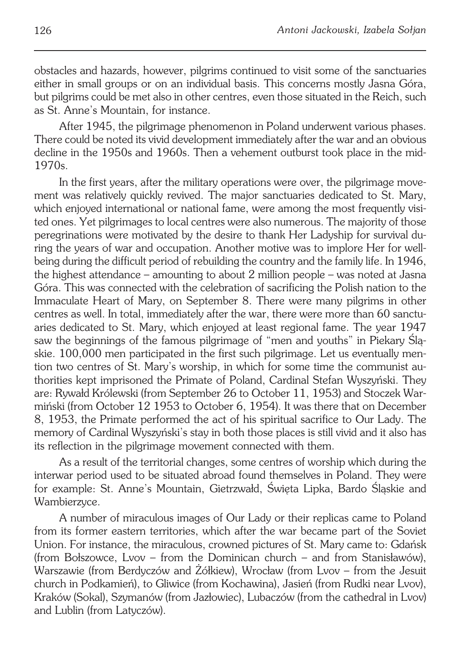obstacles and hazards, however, pilgrims continued to visit some of the sanctuaries either in small groups or on an individual basis. This concerns mostly Jasna Góra, but pilgrims could be met also in other centres, even those situated in the Reich, such as St. Anne's Mountain, for instance.

After 1945, the pilgrimage phenomenon in Poland underwent various phases. There could be noted its vivid development immediately after the war and an obvious decline in the 1950s and 1960s. Then a vehement outburst took place in the mid-1970s.

In the first years, after the military operations were over, the pilgrimage move− ment was relatively quickly revived. The major sanctuaries dedicated to St. Mary, which enjoyed international or national fame, were among the most frequently visi− ted ones. Yet pilgrimages to local centres were also numerous. The majority of those peregrinations were motivated by the desire to thank Her Ladyship for survival du− ring the years of war and occupation. Another motive was to implore Her for well− being during the difficult period of rebuilding the country and the family life. In 1946, the highest attendance – amounting to about 2 million people – was noted at Jasna Góra. This was connected with the celebration of sacrificing the Polish nation to the Immaculate Heart of Mary, on September 8. There were many pilgrims in other centres as well. In total, immediately after the war, there were more than 60 sanctu− aries dedicated to St. Mary, which enjoyed at least regional fame. The year 1947 saw the beginnings of the famous pilgrimage of "men and youths" in Piekary Ślą− skie. 100,000 men participated in the first such pilgrimage. Let us eventually men− tion two centres of St. Mary's worship, in which for some time the communist au− thorities kept imprisoned the Primate of Poland, Cardinal Stefan Wyszyński. They are: Rywałd Królewski (from September 26 to October 11, 1953) and Stoczek War− miński (from October 12 1953 to October 6, 1954). It was there that on December 8, 1953, the Primate performed the act of his spiritual sacrifice to Our Lady. The memory of Cardinal Wyszyński's stay in both those places is still vivid and it also has its reflection in the pilgrimage movement connected with them.

As a result of the territorial changes, some centres of worship which during the interwar period used to be situated abroad found themselves in Poland. They were for example: St. Anne's Mountain, Gietrzwałd, Święta Lipka, Bardo Śląskie and Wambierzyce.

A number of miraculous images of Our Lady or their replicas came to Poland from its former eastern territories, which after the war became part of the Soviet Union. For instance, the miraculous, crowned pictures of St. Mary came to: Gdańsk (from Bołszowce, Lvov – from the Dominican church – and from Stanisławów), Warszawie (from Berdyczów and Żółkiew), Wrocław (from Lvov – from the Jesuit church in Podkamień), to Gliwice (from Kochawina), Jasień (from Rudki near Lvov), Kraków (Sokal), Szymanów (from Jazłowiec), Lubaczów (from the cathedral in Lvov) and Lublin (from Latyczów).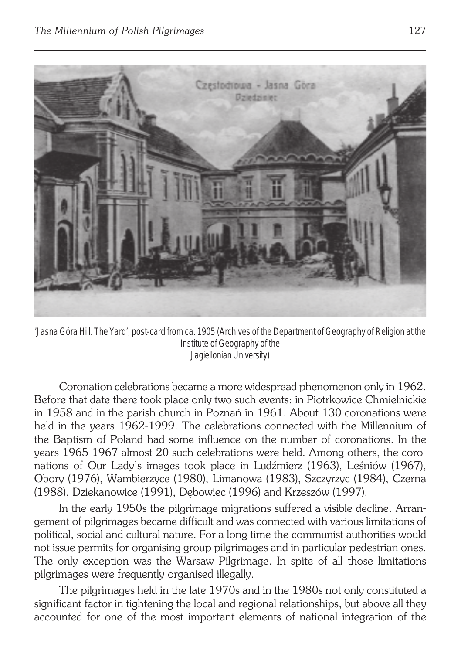

'Jasna Góra Hill. The Yard', post-card from ca. 1905 (Archives of the Department of Geography of Religion at the Institute of Geography of the Jagiellonian University)

Coronation celebrations became a more widespread phenomenon only in 1962. Before that date there took place only two such events: in Piotrkowice Chmielnickie in 1958 and in the parish church in Poznań in 1961. About 130 coronations were held in the years 1962−1999. The celebrations connected with the Millennium of the Baptism of Poland had some influence on the number of coronations. In the years 1965−1967 almost 20 such celebrations were held. Among others, the coro− nations of Our Lady's images took place in Ludźmierz (1963), Leśniów (1967), Obory (1976), Wambierzyce (1980), Limanowa (1983), Szczyrzyc (1984), Czerna (1988), Dziekanowice (1991), Dębowiec (1996) and Krzeszów (1997).

In the early 1950s the pilgrimage migrations suffered a visible decline. Arran− gement of pilgrimages became difficult and was connected with various limitations of political, social and cultural nature. For a long time the communist authorities would not issue permits for organising group pilgrimages and in particular pedestrian ones. The only exception was the Warsaw Pilgrimage. In spite of all those limitations pilgrimages were frequently organised illegally.

The pilgrimages held in the late 1970s and in the 1980s not only constituted a significant factor in tightening the local and regional relationships, but above all they accounted for one of the most important elements of national integration of the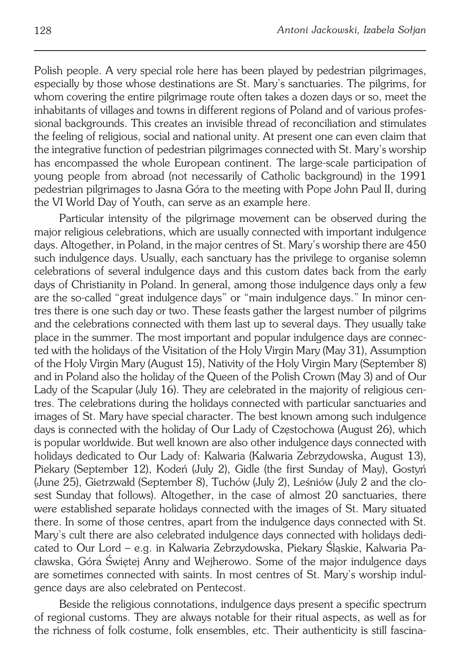Polish people. A very special role here has been played by pedestrian pilgrimages, especially by those whose destinations are St. Mary's sanctuaries. The pilgrims, for whom covering the entire pilgrimage route often takes a dozen days or so, meet the inhabitants of villages and towns in different regions of Poland and of various profes− sional backgrounds. This creates an invisible thread of reconciliation and stimulates the feeling of religious, social and national unity. At present one can even claim that the integrative function of pedestrian pilgrimages connected with St. Mary's worship has encompassed the whole European continent. The large−scale participation of young people from abroad (not necessarily of Catholic background) in the 1991 pedestrian pilgrimages to Jasna Góra to the meeting with Pope John Paul II, during the VI World Day of Youth, can serve as an example here.

Particular intensity of the pilgrimage movement can be observed during the major religious celebrations, which are usually connected with important indulgence days. Altogether, in Poland, in the major centres of St. Mary's worship there are 450 such indulgence days. Usually, each sanctuary has the privilege to organise solemn celebrations of several indulgence days and this custom dates back from the early days of Christianity in Poland. In general, among those indulgence days only a few are the so−called "great indulgence days" or "main indulgence days." In minor cen− tres there is one such day or two. These feasts gather the largest number of pilgrims and the celebrations connected with them last up to several days. They usually take place in the summer. The most important and popular indulgence days are connec− ted with the holidays of the Visitation of the Holy Virgin Mary (May 31), Assumption of the Holy Virgin Mary (August 15), Nativity of the Holy Virgin Mary (September 8) and in Poland also the holiday of the Queen of the Polish Crown (May 3) and of Our Lady of the Scapular (July 16). They are celebrated in the majority of religious cen− tres. The celebrations during the holidays connected with particular sanctuaries and images of St. Mary have special character. The best known among such indulgence days is connected with the holiday of Our Lady of Częstochowa (August 26), which is popular worldwide. But well known are also other indulgence days connected with holidays dedicated to Our Lady of: Kalwaria (Kalwaria Zebrzydowska, August 13), Piekary (September 12), Kodeń (July 2), Gidle (the first Sunday of May), Gostyń (June 25), Gietrzwałd (September 8), Tuchów (July 2), Leśniów (July 2 and the clo− sest Sunday that follows). Altogether, in the case of almost 20 sanctuaries, there were established separate holidays connected with the images of St. Mary situated there. In some of those centres, apart from the indulgence days connected with St. Mary's cult there are also celebrated indulgence days connected with holidays dedi− cated to Our Lord – e.g. in Kalwaria Zebrzydowska, Piekary Śląskie, Kalwaria Pa− cławska, Góra Świętej Anny and Wejherowo. Some of the major indulgence days are sometimes connected with saints. In most centres of St. Mary's worship indul− gence days are also celebrated on Pentecost.

Beside the religious connotations, indulgence days present a specific spectrum of regional customs. They are always notable for their ritual aspects, as well as for the richness of folk costume, folk ensembles, etc. Their authenticity is still fascina−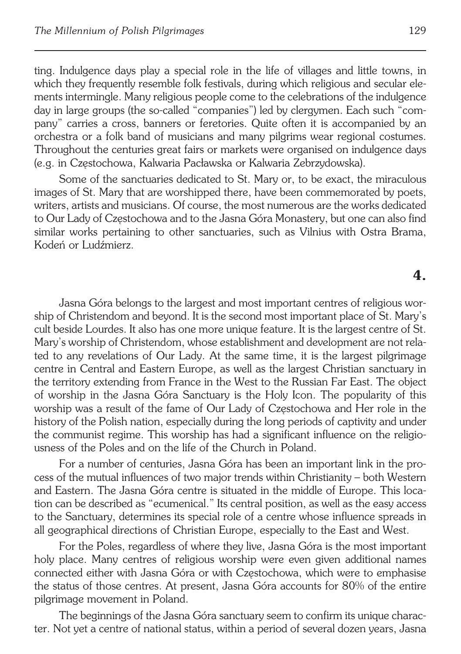ting. Indulgence days play a special role in the life of villages and little towns, in which they frequently resemble folk festivals, during which religious and secular ele− ments intermingle. Many religious people come to the celebrations of the indulgence day in large groups (the so−called "companies") led by clergymen. Each such "com− pany" carries a cross, banners or feretories. Quite often it is accompanied by an orchestra or a folk band of musicians and many pilgrims wear regional costumes. Throughout the centuries great fairs or markets were organised on indulgence days

Some of the sanctuaries dedicated to St. Mary or, to be exact, the miraculous images of St. Mary that are worshipped there, have been commemorated by poets, writers, artists and musicians. Of course, the most numerous are the works dedicated to Our Lady of Częstochowa and to the Jasna Góra Monastery, but one can also find similar works pertaining to other sanctuaries, such as Vilnius with Ostra Brama, Kodeń or Ludźmierz.

(e.g. in Częstochowa, Kalwaria Pacławska or Kalwaria Zebrzydowska).

#### **4.**

Jasna Góra belongs to the largest and most important centres of religious wor− ship of Christendom and beyond. It is the second most important place of St. Mary's cult beside Lourdes. It also has one more unique feature. It is the largest centre of St. Mary's worship of Christendom, whose establishment and development are not rela− ted to any revelations of Our Lady. At the same time, it is the largest pilgrimage centre in Central and Eastern Europe, as well as the largest Christian sanctuary in the territory extending from France in the West to the Russian Far East. The object of worship in the Jasna Góra Sanctuary is the Holy Icon. The popularity of this worship was a result of the fame of Our Lady of Częstochowa and Her role in the history of the Polish nation, especially during the long periods of captivity and under the communist regime. This worship has had a significant influence on the religio− usness of the Poles and on the life of the Church in Poland.

For a number of centuries, Jasna Góra has been an important link in the pro− cess of the mutual influences of two major trends within Christianity – both Western and Eastern. The Jasna Góra centre is situated in the middle of Europe. This loca− tion can be described as "ecumenical." Its central position, as well as the easy access to the Sanctuary, determines its special role of a centre whose influence spreads in all geographical directions of Christian Europe, especially to the East and West.

For the Poles, regardless of where they live, Jasna Góra is the most important holy place. Many centres of religious worship were even given additional names connected either with Jasna Góra or with Częstochowa, which were to emphasise the status of those centres. At present, Jasna Góra accounts for 80% of the entire pilgrimage movement in Poland.

The beginnings of the Jasna Góra sanctuary seem to confirm its unique charac− ter. Not yet a centre of national status, within a period of several dozen years, Jasna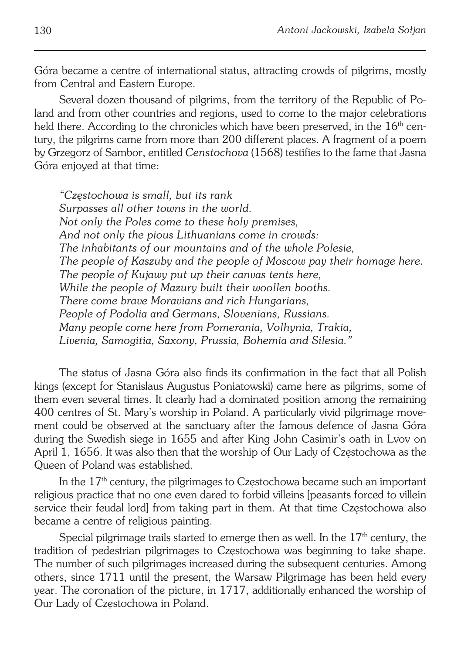Góra became a centre of international status, attracting crowds of pilgrims, mostly from Central and Eastern Europe.

Several dozen thousand of pilgrims, from the territory of the Republic of Po− land and from other countries and regions, used to come to the major celebrations held there. According to the chronicles which have been preserved, in the 16<sup>th</sup> cen− tury, the pilgrims came from more than 200 different places. A fragment of a poem by Grzegorz of Sambor, entitled *Censtochova* (1568) testifies to the fame that Jasna Góra enjoyed at that time:

*"Częstochowa is small, but its rank Surpasses all other towns in the world. Not only the Poles come to these holy premises, And not only the pious Lithuanians come in crowds: The inhabitants of our mountains and of the whole Polesie, The people of Kaszuby and the people of Moscow pay their homage here. The people of Kujawy put up their canvas tents here, While the people of Mazury built their woollen booths. There come brave Moravians and rich Hungarians, People of Podolia and Germans, Slovenians, Russians. Many people come here from Pomerania, Volhynia, Trakia, Livenia, Samogitia, Saxony, Prussia, Bohemia and Silesia."*

The status of Jasna Góra also finds its confirmation in the fact that all Polish kings (except for Stanislaus Augustus Poniatowski) came here as pilgrims, some of them even several times. It clearly had a dominated position among the remaining 400 centres of St. Mary's worship in Poland. A particularly vivid pilgrimage move− ment could be observed at the sanctuary after the famous defence of Jasna Góra during the Swedish siege in 1655 and after King John Casimir's oath in Lvov on April 1, 1656. It was also then that the worship of Our Lady of Częstochowa as the Queen of Poland was established.

In the 17<sup>th</sup> century, the pilgrimages to Częstochowa became such an important religious practice that no one even dared to forbid villeins [peasants forced to villein service their feudal lord] from taking part in them. At that time Częstochowa also became a centre of religious painting.

Special pilgrimage trails started to emerge then as well. In the  $17<sup>th</sup>$  century, the tradition of pedestrian pilgrimages to Częstochowa was beginning to take shape. The number of such pilgrimages increased during the subsequent centuries. Among others, since 1711 until the present, the Warsaw Pilgrimage has been held every year. The coronation of the picture, in 1717, additionally enhanced the worship of Our Lady of Częstochowa in Poland.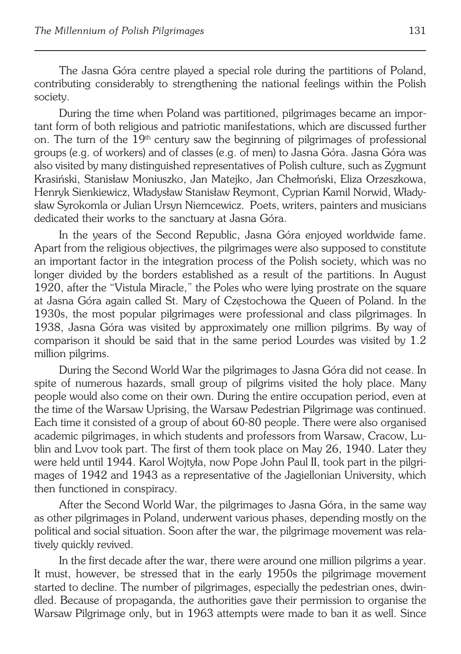The Jasna Góra centre played a special role during the partitions of Poland, contributing considerably to strengthening the national feelings within the Polish society.

During the time when Poland was partitioned, pilgrimages became an impor− tant form of both religious and patriotic manifestations, which are discussed further on. The turn of the  $19<sup>th</sup>$  century saw the beginning of pilgrimages of professional groups (e.g. of workers) and of classes (e.g. of men) to Jasna Góra. Jasna Góra was also visited by many distinguished representatives of Polish culture, such as Zygmunt Krasiński, Stanisław Moniuszko, Jan Matejko, Jan Chełmoński, Eliza Orzeszkowa, Henryk Sienkiewicz, Władysław Stanisław Reymont, Cyprian Kamil Norwid, Włady− sław Syrokomla or Julian Ursyn Niemcewicz. Poets, writers, painters and musicians dedicated their works to the sanctuary at Jasna Góra.

In the years of the Second Republic, Jasna Góra enjoyed worldwide fame. Apart from the religious objectives, the pilgrimages were also supposed to constitute an important factor in the integration process of the Polish society, which was no longer divided by the borders established as a result of the partitions. In August 1920, after the "Vistula Miracle," the Poles who were lying prostrate on the square at Jasna Góra again called St. Mary of Częstochowa the Queen of Poland. In the 1930s, the most popular pilgrimages were professional and class pilgrimages. In 1938, Jasna Góra was visited by approximately one million pilgrims. By way of comparison it should be said that in the same period Lourdes was visited by 1.2 million pilgrims.

During the Second World War the pilgrimages to Jasna Góra did not cease. In spite of numerous hazards, small group of pilgrims visited the holy place. Many people would also come on their own. During the entire occupation period, even at the time of the Warsaw Uprising, the Warsaw Pedestrian Pilgrimage was continued. Each time it consisted of a group of about 60−80 people. There were also organised academic pilgrimages, in which students and professors from Warsaw, Cracow, Lu− blin and Lvov took part. The first of them took place on May 26, 1940. Later they were held until 1944. Karol Wojtyła, now Pope John Paul II, took part in the pilgri− mages of 1942 and 1943 as a representative of the Jagiellonian University, which then functioned in conspiracy.

After the Second World War, the pilgrimages to Jasna Góra, in the same way as other pilgrimages in Poland, underwent various phases, depending mostly on the political and social situation. Soon after the war, the pilgrimage movement was rela− tively quickly revived.

In the first decade after the war, there were around one million pilgrims a year. It must, however, be stressed that in the early 1950s the pilgrimage movement started to decline. The number of pilgrimages, especially the pedestrian ones, dwin− dled. Because of propaganda, the authorities gave their permission to organise the Warsaw Pilgrimage only, but in 1963 attempts were made to ban it as well. Since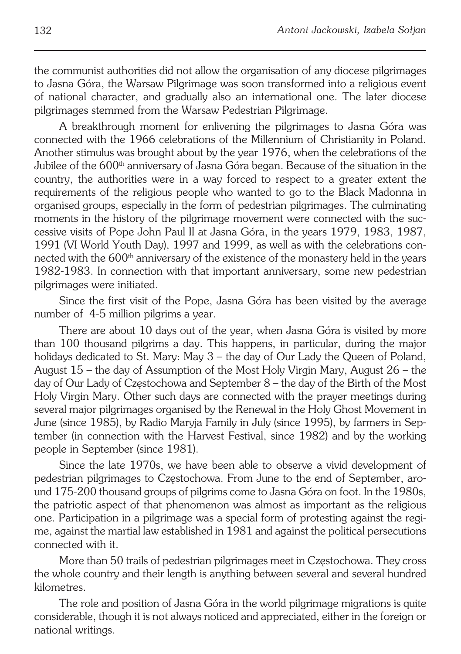the communist authorities did not allow the organisation of any diocese pilgrimages to Jasna Góra, the Warsaw Pilgrimage was soon transformed into a religious event of national character, and gradually also an international one. The later diocese pilgrimages stemmed from the Warsaw Pedestrian Pilgrimage.

A breakthrough moment for enlivening the pilgrimages to Jasna Góra was connected with the 1966 celebrations of the Millennium of Christianity in Poland. Another stimulus was brought about by the year 1976, when the celebrations of the Jubilee of the 600<sup>th</sup> anniversary of Jasna Góra began. Because of the situation in the country, the authorities were in a way forced to respect to a greater extent the requirements of the religious people who wanted to go to the Black Madonna in organised groups, especially in the form of pedestrian pilgrimages. The culminating moments in the history of the pilgrimage movement were connected with the suc− cessive visits of Pope John Paul II at Jasna Góra, in the years 1979, 1983, 1987, 1991 (VI World Youth Day), 1997 and 1999, as well as with the celebrations con− nected with the 600<sup>th</sup> anniversary of the existence of the monastery held in the years 1982−1983. In connection with that important anniversary, some new pedestrian pilgrimages were initiated.

Since the first visit of the Pope, Jasna Góra has been visited by the average number of 4−5 million pilgrims a year.

There are about 10 days out of the year, when Jasna Góra is visited by more than 100 thousand pilgrims a day. This happens, in particular, during the major holidays dedicated to St. Mary: May 3 – the day of Our Lady the Queen of Poland, August 15 – the day of Assumption of the Most Holy Virgin Mary, August 26 – the day of Our Lady of Częstochowa and September 8 – the day of the Birth of the Most Holy Virgin Mary. Other such days are connected with the prayer meetings during several major pilgrimages organised by the Renewal in the Holy Ghost Movement in June (since 1985), by Radio Maryja Family in July (since 1995), by farmers in Sep− tember (in connection with the Harvest Festival, since 1982) and by the working people in September (since 1981).

Since the late 1970s, we have been able to observe a vivid development of pedestrian pilgrimages to Częstochowa. From June to the end of September, aro− und 175−200 thousand groups of pilgrims come to Jasna Góra on foot. In the 1980s, the patriotic aspect of that phenomenon was almost as important as the religious one. Participation in a pilgrimage was a special form of protesting against the regi− me, against the martial law established in 1981 and against the political persecutions connected with it.

More than 50 trails of pedestrian pilgrimages meet in Częstochowa. They cross the whole country and their length is anything between several and several hundred kilometres.

The role and position of Jasna Góra in the world pilgrimage migrations is quite considerable, though it is not always noticed and appreciated, either in the foreign or national writings.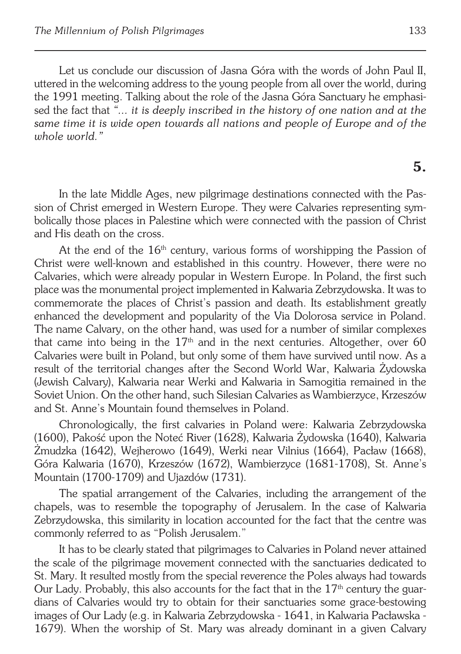Let us conclude our discussion of Jasna Góra with the words of John Paul II, uttered in the welcoming address to the young people from all over the world, during the 1991 meeting. Talking about the role of the Jasna Góra Sanctuary he emphasi− sed the fact that *"... it is deeply inscribed in the history of one nation and at the same time it is wide open towards all nations and people of Europe and of the whole world."*

## **5.**

In the late Middle Ages, new pilgrimage destinations connected with the Pas− sion of Christ emerged in Western Europe. They were Calvaries representing sym− bolically those places in Palestine which were connected with the passion of Christ and His death on the cross.

At the end of the  $16<sup>th</sup>$  century, various forms of worshipping the Passion of Christ were well−known and established in this country. However, there were no Calvaries, which were already popular in Western Europe. In Poland, the first such place was the monumental project implemented in Kalwaria Zebrzydowska. It was to commemorate the places of Christ's passion and death. Its establishment greatly enhanced the development and popularity of the Via Dolorosa service in Poland. The name Calvary, on the other hand, was used for a number of similar complexes that came into being in the  $17<sup>th</sup>$  and in the next centuries. Altogether, over 60 Calvaries were built in Poland, but only some of them have survived until now. As a result of the territorial changes after the Second World War, Kalwaria Żydowska (Jewish Calvary), Kalwaria near Werki and Kalwaria in Samogitia remained in the Soviet Union. On the other hand, such Silesian Calvaries as Wambierzyce, Krzeszów and St. Anne's Mountain found themselves in Poland.

Chronologically, the first calvaries in Poland were: Kalwaria Zebrzydowska (1600), Pakość upon the Noteć River (1628), Kalwaria Żydowska (1640), Kalwaria Żmudzka (1642), Wejherowo (1649), Werki near Vilnius (1664), Pacław (1668), Góra Kalwaria (1670), Krzeszów (1672), Wambierzyce (1681−1708), St. Anne's Mountain (1700−1709) and Ujazdów (1731).

The spatial arrangement of the Calvaries, including the arrangement of the chapels, was to resemble the topography of Jerusalem. In the case of Kalwaria Zebrzydowska, this similarity in location accounted for the fact that the centre was commonly referred to as "Polish Jerusalem."

It has to be clearly stated that pilgrimages to Calvaries in Poland never attained the scale of the pilgrimage movement connected with the sanctuaries dedicated to St. Mary. It resulted mostly from the special reverence the Poles always had towards Our Lady. Probably, this also accounts for the fact that in the 17<sup>th</sup> century the guardians of Calvaries would try to obtain for their sanctuaries some grace−bestowing images of Our Lady (e.g. in Kalwaria Zebrzydowska − 1641, in Kalwaria Pacławska − 1679). When the worship of St. Mary was already dominant in a given Calvary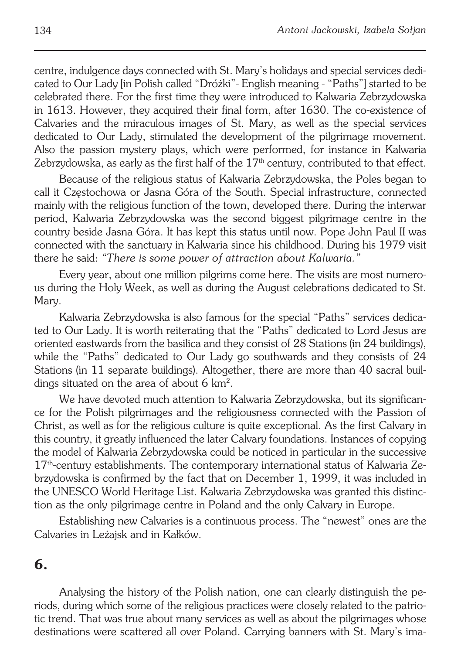centre, indulgence days connected with St. Mary's holidays and special services dedi− cated to Our Lady [in Polish called "Dróżki"− English meaning − "Paths"] started to be celebrated there. For the first time they were introduced to Kalwaria Zebrzydowska in 1613. However, they acquired their final form, after 1630. The co−existence of Calvaries and the miraculous images of St. Mary, as well as the special services dedicated to Our Lady, stimulated the development of the pilgrimage movement. Also the passion mystery plays, which were performed, for instance in Kalwaria Zebrzydowska, as early as the first half of the  $17<sup>th</sup>$  century, contributed to that effect.

Because of the religious status of Kalwaria Zebrzydowska, the Poles began to call it Częstochowa or Jasna Góra of the South. Special infrastructure, connected mainly with the religious function of the town, developed there. During the interwar period, Kalwaria Zebrzydowska was the second biggest pilgrimage centre in the country beside Jasna Góra. It has kept this status until now. Pope John Paul II was connected with the sanctuary in Kalwaria since his childhood. During his 1979 visit there he said: *"There is some power of attraction about Kalwaria."*

Every year, about one million pilgrims come here. The visits are most numero− us during the Holy Week, as well as during the August celebrations dedicated to St. Mary.

Kalwaria Zebrzydowska is also famous for the special "Paths" services dedica− ted to Our Lady. It is worth reiterating that the "Paths" dedicated to Lord Jesus are oriented eastwards from the basilica and they consist of 28 Stations (in 24 buildings), while the "Paths" dedicated to Our Lady go southwards and they consists of 24 Stations (in 11 separate buildings). Altogether, there are more than 40 sacral buil− dings situated on the area of about 6 km<sup>2</sup>.

We have devoted much attention to Kalwaria Zebrzydowska, but its significan− ce for the Polish pilgrimages and the religiousness connected with the Passion of Christ, as well as for the religious culture is quite exceptional. As the first Calvary in this country, it greatly influenced the later Calvary foundations. Instances of copying the model of Kalwaria Zebrzydowska could be noticed in particular in the successive 17<sup>th</sup>-century establishments. The contemporary international status of Kalwaria Ze− brzydowska is confirmed by the fact that on December 1, 1999, it was included in the UNESCO World Heritage List. Kalwaria Zebrzydowska was granted this distinc− tion as the only pilgrimage centre in Poland and the only Calvary in Europe.

Establishing new Calvaries is a continuous process. The "newest" ones are the Calvaries in Leżajsk and in Kałków.

#### **6.**

Analysing the history of the Polish nation, one can clearly distinguish the pe− riods, during which some of the religious practices were closely related to the patrio− tic trend. That was true about many services as well as about the pilgrimages whose destinations were scattered all over Poland. Carrying banners with St. Mary's ima−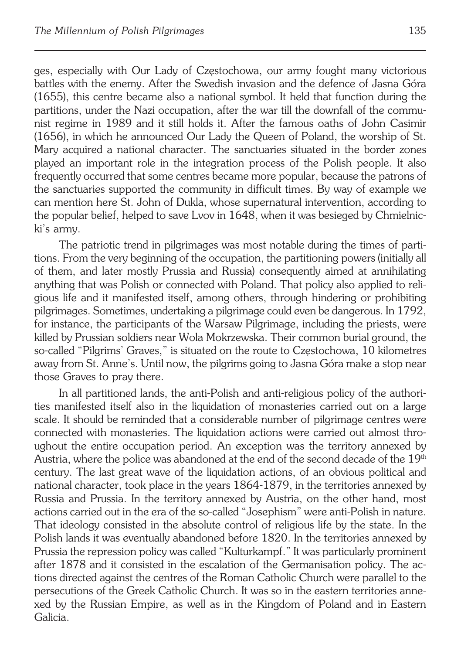ges, especially with Our Lady of Częstochowa, our army fought many victorious battles with the enemy. After the Swedish invasion and the defence of Jasna Góra (1655), this centre became also a national symbol. It held that function during the partitions, under the Nazi occupation, after the war till the downfall of the communist regime in 1989 and it still holds it. After the famous oaths of John Casimir (1656), in which he announced Our Lady the Queen of Poland, the worship of St. Mary acquired a national character. The sanctuaries situated in the border zones played an important role in the integration process of the Polish people. It also frequently occurred that some centres became more popular, because the patrons of the sanctuaries supported the community in difficult times. By way of example we can mention here St. John of Dukla, whose supernatural intervention, according to the popular belief, helped to save Lvov in 1648, when it was besieged by Chmielnic− ki's army.

The patriotic trend in pilgrimages was most notable during the times of parti− tions. From the very beginning of the occupation, the partitioning powers (initially all of them, and later mostly Prussia and Russia) consequently aimed at annihilating anything that was Polish or connected with Poland. That policy also applied to reli− gious life and it manifested itself, among others, through hindering or prohibiting pilgrimages. Sometimes, undertaking a pilgrimage could even be dangerous. In 1792, for instance, the participants of the Warsaw Pilgrimage, including the priests, were killed by Prussian soldiers near Wola Mokrzewska. Their common burial ground, the so−called "Pilgrims' Graves," is situated on the route to Częstochowa, 10 kilometres away from St. Anne's. Until now, the pilgrims going to Jasna Góra make a stop near those Graves to pray there.

In all partitioned lands, the anti−Polish and anti−religious policy of the authori− ties manifested itself also in the liquidation of monasteries carried out on a large scale. It should be reminded that a considerable number of pilgrimage centres were connected with monasteries. The liquidation actions were carried out almost thro− ughout the entire occupation period. An exception was the territory annexed by Austria, where the police was abandoned at the end of the second decade of the 19<sup>th</sup> century. The last great wave of the liquidation actions, of an obvious political and national character, took place in the years 1864−1879, in the territories annexed by Russia and Prussia. In the territory annexed by Austria, on the other hand, most actions carried out in the era of the so−called "Josephism" were anti−Polish in nature. That ideology consisted in the absolute control of religious life by the state. In the Polish lands it was eventually abandoned before 1820. In the territories annexed by Prussia the repression policy was called "Kulturkampf." It was particularly prominent after 1878 and it consisted in the escalation of the Germanisation policy. The ac− tions directed against the centres of the Roman Catholic Church were parallel to the persecutions of the Greek Catholic Church. It was so in the eastern territories anne− xed by the Russian Empire, as well as in the Kingdom of Poland and in Eastern Galicia.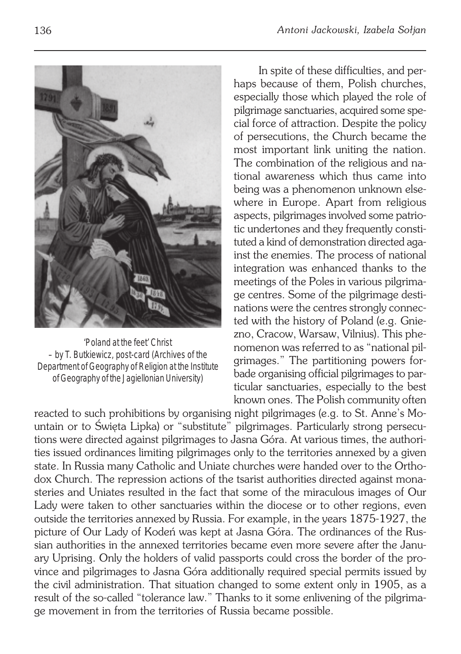

'Poland at the feet' Christ – by T. Butkiewicz, post-card (Archives of the Department of Geography of Religion at the Institute of Geography of the Jagiellonian University)

In spite of these difficulties, and per− haps because of them, Polish churches, especially those which played the role of pilgrimage sanctuaries, acquired some spe− cial force of attraction. Despite the policy of persecutions, the Church became the most important link uniting the nation. The combination of the religious and na− tional awareness which thus came into being was a phenomenon unknown else− where in Europe. Apart from religious aspects, pilgrimages involved some patrio− tic undertones and they frequently consti− tuted a kind of demonstration directed aga− inst the enemies. The process of national integration was enhanced thanks to the meetings of the Poles in various pilgrima− ge centres. Some of the pilgrimage desti− nations were the centres strongly connected with the history of Poland (e.g. Gnie− zno, Cracow, Warsaw, Vilnius). This phe− nomenon was referred to as "national pil− grimages." The partitioning powers for− bade organising official pilgrimages to par− ticular sanctuaries, especially to the best known ones. The Polish community often

reacted to such prohibitions by organising night pilgrimages (e.g. to St. Anne's Mo− untain or to Święta Lipka) or "substitute" pilgrimages. Particularly strong persecu− tions were directed against pilgrimages to Jasna Góra. At various times, the authori− ties issued ordinances limiting pilgrimages only to the territories annexed by a given state. In Russia many Catholic and Uniate churches were handed over to the Ortho− dox Church. The repression actions of the tsarist authorities directed against mona− steries and Uniates resulted in the fact that some of the miraculous images of Our Lady were taken to other sanctuaries within the diocese or to other regions, even outside the territories annexed by Russia. For example, in the years 1875−1927, the picture of Our Lady of Kodeń was kept at Jasna Góra. The ordinances of the Rus− sian authorities in the annexed territories became even more severe after the Janu− ary Uprising. Only the holders of valid passports could cross the border of the pro− vince and pilgrimages to Jasna Góra additionally required special permits issued by the civil administration. That situation changed to some extent only in 1905, as a result of the so−called "tolerance law." Thanks to it some enlivening of the pilgrima− ge movement in from the territories of Russia became possible.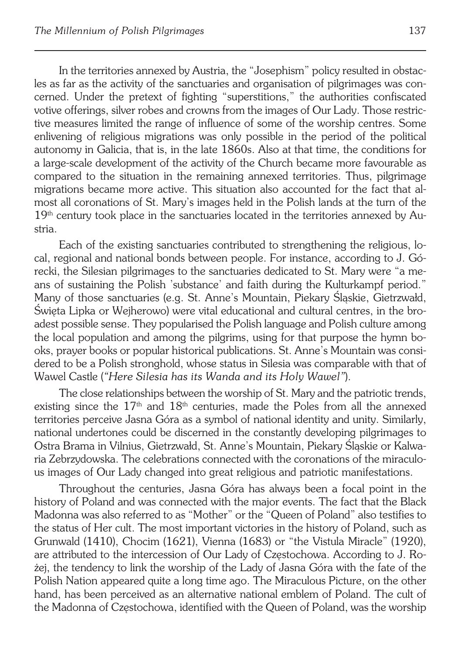In the territories annexed by Austria, the "Josephism" policy resulted in obstac− les as far as the activity of the sanctuaries and organisation of pilgrimages was con− cerned. Under the pretext of fighting "superstitions," the authorities confiscated votive offerings, silver robes and crowns from the images of Our Lady. Those restric− tive measures limited the range of influence of some of the worship centres. Some enlivening of religious migrations was only possible in the period of the political autonomy in Galicia, that is, in the late 1860s. Also at that time, the conditions for a large−scale development of the activity of the Church became more favourable as compared to the situation in the remaining annexed territories. Thus, pilgrimage migrations became more active. This situation also accounted for the fact that al− most all coronations of St. Mary's images held in the Polish lands at the turn of the 19<sup>th</sup> century took place in the sanctuaries located in the territories annexed by Austria.

Each of the existing sanctuaries contributed to strengthening the religious, lo− cal, regional and national bonds between people. For instance, according to J. Gó− recki, the Silesian pilgrimages to the sanctuaries dedicated to St. Mary were "a me− ans of sustaining the Polish 'substance' and faith during the Kulturkampf period." Many of those sanctuaries (e.g. St. Anne's Mountain, Piekary Śląskie, Gietrzwałd, Święta Lipka or Wejherowo) were vital educational and cultural centres, in the bro− adest possible sense. They popularised the Polish language and Polish culture among the local population and among the pilgrims, using for that purpose the hymn bo− oks, prayer books or popular historical publications. St. Anne's Mountain was consi− dered to be a Polish stronghold, whose status in Silesia was comparable with that of Wawel Castle (*"Here Silesia has its Wanda and its Holy Wawel"*).

The close relationships between the worship of St. Mary and the patriotic trends, existing since the  $17<sup>th</sup>$  and  $18<sup>th</sup>$  centuries, made the Poles from all the annexed territories perceive Jasna Góra as a symbol of national identity and unity. Similarly, national undertones could be discerned in the constantly developing pilgrimages to Ostra Brama in Vilnius, Gietrzwałd, St. Anne's Mountain, Piekary Śląskie or Kalwa− ria Zebrzydowska. The celebrations connected with the coronations of the miraculo− us images of Our Lady changed into great religious and patriotic manifestations.

Throughout the centuries, Jasna Góra has always been a focal point in the history of Poland and was connected with the major events. The fact that the Black Madonna was also referred to as "Mother" or the "Queen of Poland" also testifies to the status of Her cult. The most important victories in the history of Poland, such as Grunwald (1410), Chocim (1621), Vienna (1683) or "the Vistula Miracle" (1920), are attributed to the intercession of Our Lady of Częstochowa. According to J. Ro− żej, the tendency to link the worship of the Lady of Jasna Góra with the fate of the Polish Nation appeared quite a long time ago. The Miraculous Picture, on the other hand, has been perceived as an alternative national emblem of Poland. The cult of the Madonna of Częstochowa, identified with the Queen of Poland, was the worship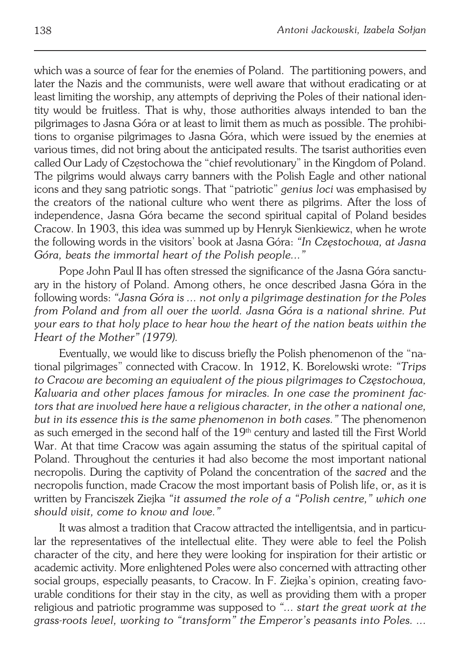which was a source of fear for the enemies of Poland. The partitioning powers, and later the Nazis and the communists, were well aware that without eradicating or at least limiting the worship, any attempts of depriving the Poles of their national iden− tity would be fruitless. That is why, those authorities always intended to ban the pilgrimages to Jasna Góra or at least to limit them as much as possible. The prohibi− tions to organise pilgrimages to Jasna Góra, which were issued by the enemies at various times, did not bring about the anticipated results. The tsarist authorities even called Our Lady of Częstochowa the "chief revolutionary" in the Kingdom of Poland. The pilgrims would always carry banners with the Polish Eagle and other national icons and they sang patriotic songs. That "patriotic" *genius loci* was emphasised by the creators of the national culture who went there as pilgrims. After the loss of independence, Jasna Góra became the second spiritual capital of Poland besides Cracow. In 1903, this idea was summed up by Henryk Sienkiewicz, when he wrote the following words in the visitors' book at Jasna Góra: *"In Częstochowa, at Jasna Góra, beats the immortal heart of the Polish people..."*

Pope John Paul II has often stressed the significance of the Jasna Góra sanctu− ary in the history of Poland. Among others, he once described Jasna Góra in the following words: *"Jasna Góra is ... not only a pilgrimage destination for the Poles from Poland and from all over the world. Jasna Góra is a national shrine. Put your ears to that holy place to hear how the heart of the nation beats within the Heart of the Mother" (1979).*

Eventually, we would like to discuss briefly the Polish phenomenon of the "na− tional pilgrimages" connected with Cracow. In 1912, K. Borelowski wrote: *"Trips to Cracow are becoming an equivalent of the pious pilgrimages to Częstochowa, Kalwaria and other places famous for miracles. In one case the prominent fac− tors that are involved here have a religious character, in the other a national one, but in its essence this is the same phenomenon in both cases."* The phenomenon as such emerged in the second half of the 19<sup>th</sup> century and lasted till the First World War. At that time Cracow was again assuming the status of the spiritual capital of Poland. Throughout the centuries it had also become the most important national necropolis. During the captivity of Poland the concentration of the *sacred* and the necropolis function, made Cracow the most important basis of Polish life, or, as it is written by Franciszek Ziejka *"it assumed the role of a "Polish centre," which one should visit, come to know and love."*

It was almost a tradition that Cracow attracted the intelligentsia, and in particu− lar the representatives of the intellectual elite. They were able to feel the Polish character of the city, and here they were looking for inspiration for their artistic or academic activity. More enlightened Poles were also concerned with attracting other social groups, especially peasants, to Cracow. In F. Ziejka's opinion, creating favo− urable conditions for their stay in the city, as well as providing them with a proper religious and patriotic programme was supposed to *"... start the great work at the grass−roots level, working to "transform" the Emperor's peasants into Poles. ...*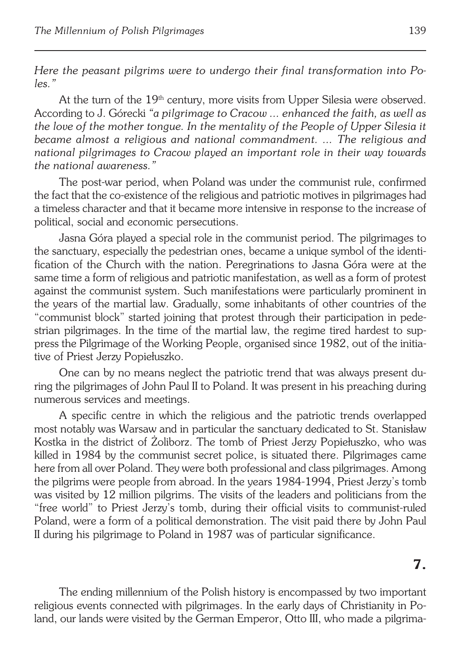*Here the peasant pilgrims were to undergo their final transformation into Po− les."*

At the turn of the 19<sup>th</sup> century, more visits from Upper Silesia were observed. According to J. Górecki *"a pilgrimage to Cracow ... enhanced the faith, as well as the love of the mother tongue. In the mentality of the People of Upper Silesia it became almost a religious and national commandment. ... The religious and national pilgrimages to Cracow played an important role in their way towards the national awareness."*

The post−war period, when Poland was under the communist rule, confirmed the fact that the co−existence of the religious and patriotic motives in pilgrimages had a timeless character and that it became more intensive in response to the increase of political, social and economic persecutions.

Jasna Góra played a special role in the communist period. The pilgrimages to the sanctuary, especially the pedestrian ones, became a unique symbol of the identi− fication of the Church with the nation. Peregrinations to Jasna Góra were at the same time a form of religious and patriotic manifestation, as well as a form of protest against the communist system. Such manifestations were particularly prominent in the years of the martial law. Gradually, some inhabitants of other countries of the "communist block" started joining that protest through their participation in pede− strian pilgrimages. In the time of the martial law, the regime tired hardest to sup− press the Pilgrimage of the Working People, organised since 1982, out of the initia− tive of Priest Jerzy Popiełuszko.

One can by no means neglect the patriotic trend that was always present du− ring the pilgrimages of John Paul II to Poland. It was present in his preaching during numerous services and meetings.

A specific centre in which the religious and the patriotic trends overlapped most notably was Warsaw and in particular the sanctuary dedicated to St. Stanisław Kostka in the district of Żoliborz. The tomb of Priest Jerzy Popiełuszko, who was killed in 1984 by the communist secret police, is situated there. Pilgrimages came here from all over Poland. They were both professional and class pilgrimages. Among the pilgrims were people from abroad. In the years 1984−1994, Priest Jerzy's tomb was visited by 12 million pilgrims. The visits of the leaders and politicians from the "free world" to Priest Jerzy's tomb, during their official visits to communist−ruled Poland, were a form of a political demonstration. The visit paid there by John Paul II during his pilgrimage to Poland in 1987 was of particular significance.

The ending millennium of the Polish history is encompassed by two important religious events connected with pilgrimages. In the early days of Christianity in Po− land, our lands were visited by the German Emperor, Otto III, who made a pilgrima−

**7.**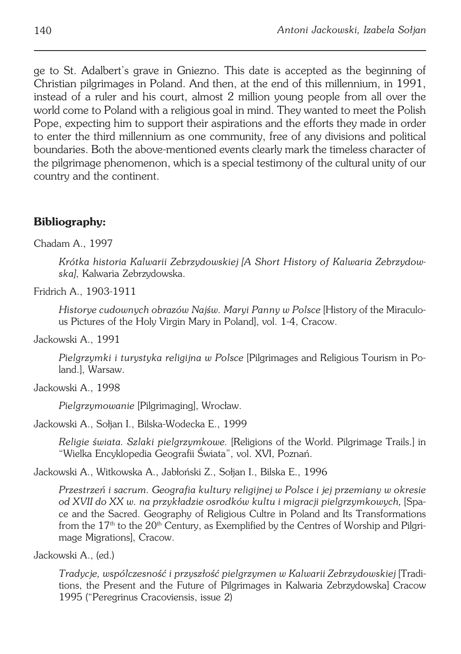ge to St. Adalbert's grave in Gniezno. This date is accepted as the beginning of Christian pilgrimages in Poland. And then, at the end of this millennium, in 1991, instead of a ruler and his court, almost 2 million young people from all over the world come to Poland with a religious goal in mind. They wanted to meet the Polish Pope, expecting him to support their aspirations and the efforts they made in order to enter the third millennium as one community, free of any divisions and political boundaries. Both the above−mentioned events clearly mark the timeless character of the pilgrimage phenomenon, which is a special testimony of the cultural unity of our country and the continent.

#### **Bibliography:**

Chadam A., 1997

*Krótka historia Kalwarii Zebrzydowskiej [A Short History of Kalwaria Zebrzydow− ska]*, Kalwaria Zebrzydowska.

Fridrich A., 1903−1911

*Historye cudownych obrazów Najśw. Maryi Panny w Polsce* [History of the Miraculo− us Pictures of the Holy Virgin Mary in Poland], vol. 1−4, Cracow.

Jackowski A., 1991

*Pielgrzymki i turystyka religijna w Polsce* [Pilgrimages and Religious Tourism in Po− land.], Warsaw.

Jackowski A., 1998

*Pielgrzymowanie* [Pilgrimaging], Wrocław.

Jackowski A., Sołjan I., Bilska−Wodecka E., 1999

*Religie świata. Szlaki pielgrzymkowe.* [Religions of the World. Pilgrimage Trails.] in "Wielka Encyklopedia Geografii Świata", vol. XVI, Poznań.

Jackowski A., Witkowska A., Jabłoński Z., Sołjan I., Bilska E., 1996

*Przestrzeń i sacrum. Geografia kultury religijnej w Polsce i jej przemiany w okresie od XVII do XX w. na przykładzie osrodków kultu i migracji pielgrzymkowych,* [Spa− ce and the Sacred. Geography of Religious Cultre in Poland and Its Transformations from the 17<sup>th</sup> to the 20<sup>th</sup> Century, as Exemplified by the Centres of Worship and Pilgri− mage Migrations], Cracow.

Jackowski A., (ed.)

*Tradycje, wspólczesność i przyszłość pielgrzymen w Kalwarii Zebrzydowskiej* [Tradi− tions, the Present and the Future of Pilgrimages in Kalwaria Zebrzydowska] Cracow 1995 ("Peregrinus Cracoviensis, issue 2)